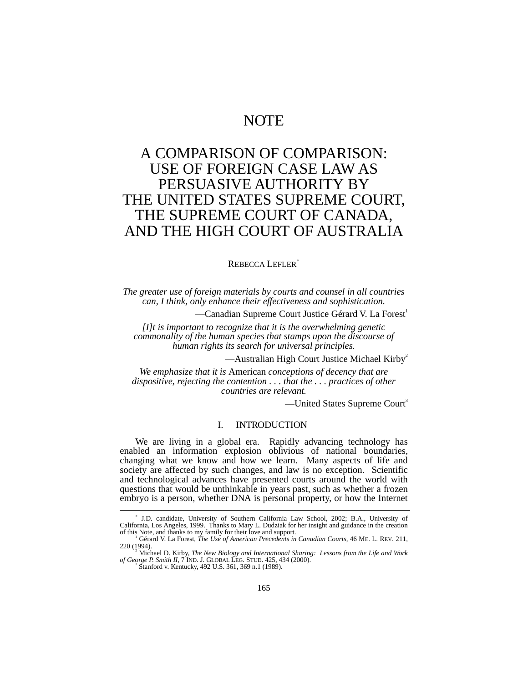## NOTE

# A COMPARISON OF COMPARISON: USE OF FOREIGN CASE LAW AS PERSUASIVE AUTHORITY BY THE UNITED STATES SUPREME COURT, THE SUPREME COURT OF CANADA, AND THE HIGH COURT OF AUSTRALIA

#### REBECCA LEFLER<sup>∗</sup>

*The greater use of foreign materials by courts and counsel in all countries can, I think, only enhance their effectiveness and sophistication.*

—Canadian Supreme Court Justice Gérard V. La Forest<sup>1</sup>

*[I]t is important to recognize that it is the overwhelming genetic commonality of the human species that stamps upon the discourse of human rights its search for universal principles.*

—Australian High Court Justice Michael Kirby<sup>2</sup>

*We emphasize that it is* American *conceptions of decency that are dispositive, rejecting the contention . . . that the . . . practices of other countries are relevant.*

—United States Supreme Court<sup>3</sup>

### I. INTRODUCTION

We are living in a global era. Rapidly advancing technology has enabled an information explosion oblivious of national boundaries, changing what we know and how we learn. Many aspects of life and society are affected by such changes, and law is no exception. Scientific and technological advances have presented courts around the world with questions that would be unthinkable in years past, such as whether a frozen embryo is a person, whether DNA is personal property, or how the Internet

Stanford v. Kentucky, 492 U.S. 361, 369 n.1 (1989).

<sup>∗</sup> J.D. candidate, University of Southern California Law School, 2002; B.A., University of California, Los Angeles, 1999. Thanks to Mary L. Dudziak for her insight and guidance in the creation of this Note, and thanks to my family for their love and support.<br><sup>1</sup> Gérard V. La Forest, *The Use of American Precedents in Canadian Courts*, 46 ME. L. REV. 211,

<sup>220 (1994).</sup> <sup>2</sup>

<sup>&</sup>lt;sup>2</sup> Michael D. Kirby, *The New Biology and International Sharing: Lessons from the Life and Work*<br>*of George P. Smith II*, 7 IND. J. GLOBAL LEG. STUD. 425, 434 (2000).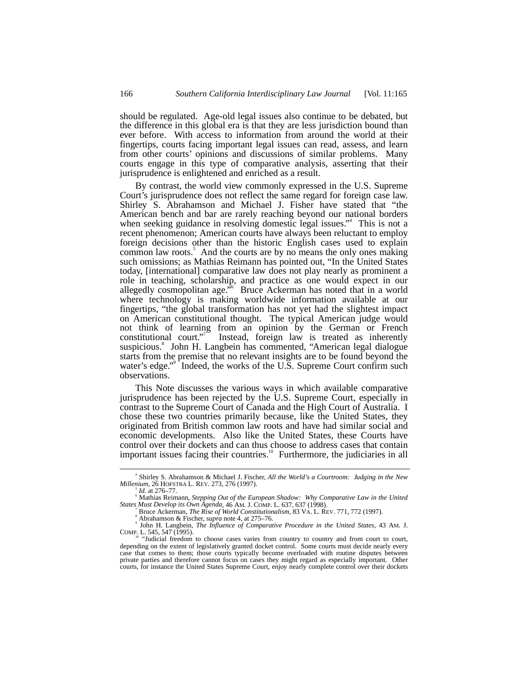should be regulated. Age-old legal issues also continue to be debated, but the difference in this global era is that they are less jurisdiction bound than ever before. With access to information from around the world at their fingertips, courts facing important legal issues can read, assess, and learn from other courts' opinions and discussions of similar problems. Many courts engage in this type of comparative analysis, asserting that their jurisprudence is enlightened and enriched as a result.

By contrast, the world view commonly expressed in the U.S. Supreme Court's jurisprudence does not reflect the same regard for foreign case law. Shirley S. Abrahamson and Michael J. Fisher have stated that "the American bench and bar are rarely reaching beyond our national borders when seeking guidance in resolving domestic legal issues." 4 This is not a recent phenomenon; American courts have always been reluctant to employ foreign decisions other than the historic English cases used to explain common law roots.<sup>5</sup> And the courts are by no means the only ones making such omissions; as Mathias Reimann has pointed out, "In the United States today, [international] comparative law does not play nearly as prominent a role in teaching, scholarship, and practice as one would expect in our allegedly cosmopolitan age.<sup>36</sup> Bruce Ackerman has noted that in a world where technology is making worldwide information available at our fingertips, "the global transformation has not yet had the slightest impact on American constitutional thought. The typical American judge would not think of learning from an opinion by the German or French constitutional court." Instead, foreign law is treated as inherently suspicious.<sup>8</sup> John H. Langbein has commented, "American legal dialogue starts from the premise that no relevant insights are to be found beyond the water's edge."<sup>9</sup> Indeed, the works of the U.S. Supreme Court confirm such observations.

This Note discusses the various ways in which available comparative jurisprudence has been rejected by the U.S. Supreme Court, especially in contrast to the Supreme Court of Canada and the High Court of Australia. I chose these two countries primarily because, like the United States, they originated from British common law roots and have had similar social and economic developments. Also like the United States, these Courts have control over their dockets and can thus choose to address cases that contain important issues facing their countries.<sup>10</sup> Furthermore, the judiciaries in all

 $\overline{\phantom{a}}$  Shirley S. Abrahamson & Michael J. Fischer, *All the World's a Courtroom: Judging in the New Millenium*, 26 HOFSTRA L. REV. 273, 276 (1997). <sup>5</sup>

*Id.* at 276-77.

Mathias Reimann, *Stepping Out of the European Shadow: Why Comparative Law in the United States Must Develop its Own Agenda*, 46 AM. J. COMP. L. 637, 637 (1998). <sup>7</sup>

Bruce Ackerman, *The Rise of World Constitutionalism*, 83 VA. L. REV. 771, 772 (1997).

Abrahamson & Fischer, *supra* note 4, at 275–76. <sup>9</sup>

John H. Langbein, *The Influence of Comparative Procedure in the United States*, 43 AM. J. COMP. L. 545, 547 (1995). <sup>10</sup> "Judicial freedom to choose cases varies from country to country and from court to court,

depending on the extent of legislatively granted docket control. Some courts must decide nearly every case that comes to them; those courts typically become overloaded with routine disputes between private parties and therefore cannot focus on cases they might regard as especially important. Other courts, for instance the United States Supreme Court, enjoy nearly complete control over their dockets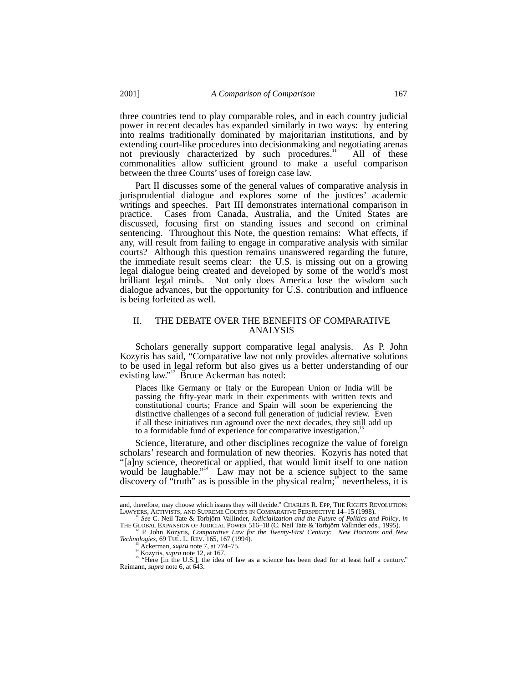three countries tend to play comparable roles, and in each country judicial power in recent decades has expanded similarly in two ways: by entering into realms traditionally dominated by majoritarian institutions, and by extending court-like procedures into decisionmaking and negotiating arenas not previously characterized by such procedures.<sup>11</sup> All of these commonalities allow sufficient ground to make a useful comparison between the three Courts' uses of foreign case law.

Part II discusses some of the general values of comparative analysis in jurisprudential dialogue and explores some of the justices' academic writings and speeches. Part III demonstrates international comparison in practice. Cases from Canada, Australia, and the United States are discussed, focusing first on standing issues and second on criminal sentencing. Throughout this Note, the question remains: What effects, if any, will result from failing to engage in comparative analysis with similar courts? Although this question remains unanswered regarding the future, the immediate result seems clear: the U.S. is missing out on a growing legal dialogue being created and developed by some of the world's most brilliant legal minds. Not only does America lose the wisdom such dialogue advances, but the opportunity for U.S. contribution and influence is being forfeited as well.

## II. THE DEBATE OVER THE BENEFITS OF COMPARATIVE ANALYSIS

Scholars generally support comparative legal analysis. As P. John Kozyris has said, "Comparative law not only provides alternative solutions to be used in legal reform but also gives us a better understanding of our existing law."<sup>12</sup> Bruce Ackerman has noted:

Places like Germany or Italy or the European Union or India will be passing the fifty-year mark in their experiments with written texts and constitutional courts; France and Spain will soon be experiencing the distinctive challenges of a second full generation of judicial review. Even if all these initiatives run aground over the next decades, they still add up to a formidable fund of experience for comparative investigation.<sup>1</sup>

Science, literature, and other disciplines recognize the value of foreign scholars' research and formulation of new theories. Kozyris has noted that "[a]ny science, theoretical or applied, that would limit itself to one nation would be laughable."<sup>14</sup> Law may not be a science subject to the same discovery of "truth" as is possible in the physical realm;<sup>15</sup> nevertheless, it is

and, therefore, may choose which issues they will decide." CHARLES R. EPP, THE RIGHTS REVOLUTION: LAWYERS, ACTIVISTS, AND SUPREME COURTS IN COMPARATIVE PERSPECTIVE 14-15 (1998).<br>"See C. Neil Tate & Torbjörn Vallinder, *Jud* 

THE GLOBAL EXPANSION OF GLOBAL POWER 516–18 (C. New Horizons Comparative Law for the Twenty-First Century: New Horizons and New Technologies, 69 TUL. L. REV. 165, 167 (1994).

<sup>&</sup>lt;sup>13</sup> Ackerman, *supra* note 7, at 774–75.<br><sup>14</sup> Kozyris, *supra* note 12, at 167.<br><sup>15</sup> "Here [in the U.S.], the idea of law as a science has been dead for at least half a century." Reimann, *supra* note 6, at 643.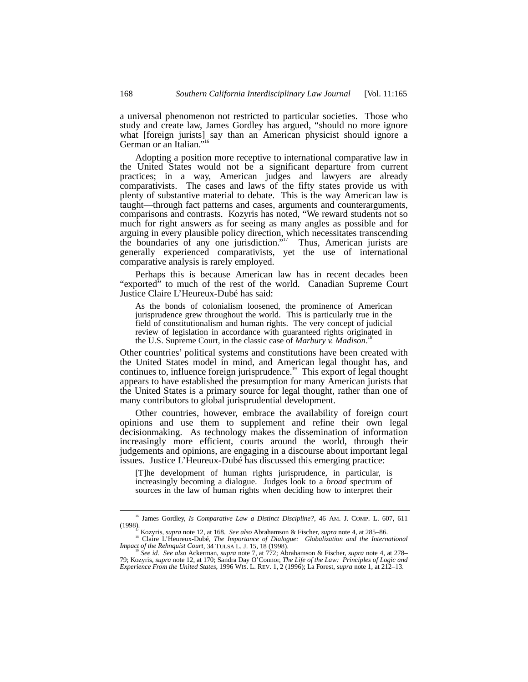a universal phenomenon not restricted to particular societies. Those who study and create law, James Gordley has argued, "should no more ignore what [foreign jurists] say than an American physicist should ignore a<br> $C<sub>ext{emren</sub> on an Italian <sup>116</sup>$ German or an Italian."

Adopting a position more receptive to international comparative law in the United States would not be a significant departure from current practices; in a way, American judges and lawyers are already comparativists. The cases and laws of the fifty states provide us with plenty of substantive material to debate. This is the way American law is taught—through fact patterns and cases, arguments and counterarguments, comparisons and contrasts. Kozyris has noted, "We reward students not so much for right answers as for seeing as many angles as possible and for arguing in every plausible policy direction, which necessitates transcending the boundaries of any one jurisdiction.<sup>"17</sup> 17 Thus, American jurists are generally experienced comparativists, yet the use of international comparative analysis is rarely employed.

Perhaps this is because American law has in recent decades been "exported" to much of the rest of the world. Canadian Supreme Court Justice Claire L'Heureux-Dubé has said:

As the bonds of colonialism loosened, the prominence of American jurisprudence grew throughout the world. This is particularly true in the field of constitutionalism and human rights. The very concept of judicial review of legislation in accordance with guaranteed rights originated in the U.S. Supreme Court, in the classic case of *Marbury v. Madison*. 18

Other countries' political systems and constitutions have been created with the United States model in mind, and American legal thought has, and continues to, influence foreign jurisprudence.<sup>19</sup> This export of legal thought appears to have established the presumption for many American jurists that the United States is a primary source for legal thought, rather than one of many contributors to global jurisprudential development.

Other countries, however, embrace the availability of foreign court opinions and use them to supplement and refine their own legal decisionmaking. As technology makes the dissemination of information increasingly more efficient, courts around the world, through their judgements and opinions, are engaging in a discourse about important legal issues. Justice L'Heureux-Dubé has discussed this emerging practice:

[T]he development of human rights jurisprudence, in particular, is increasingly becoming a dialogue. Judges look to a *broad* spectrum of sources in the law of human rights when deciding how to interpret their

<sup>&</sup>lt;sup>16</sup> James Gordley, *Is Comparative Law a Distinct Discipline*?, 46 AM. J. COMP. L. 607, 611 (1998).

<sup>&</sup>lt;sup>17</sup> Kozyris, *supra* note 12, at 168. *See also* Abrahamson & Fischer, *supra* note 4, at 285–86.<br><sup>18</sup> Claire L'Heureux-Dubé, *The Importance of Dialogue: Globalization and the International Impact of the Rehnquist Court,* 

Impact of the Rehnquist Court, 34 TULSA L. J. 15, 18 (1998).<br><sup>19</sup> See id. See also Ackerman, *supra* note 7, at 772; Abrahamson & Fischer, *supra* note 4, at 278–<br>79; Kozyris, *supra* note 12, at 170; Sandra Day O'Connor, *Experience From the United States*, 1996 WIS. L. REV. 1, 2 (1996); La Forest, *supra* note 1, at 212–13.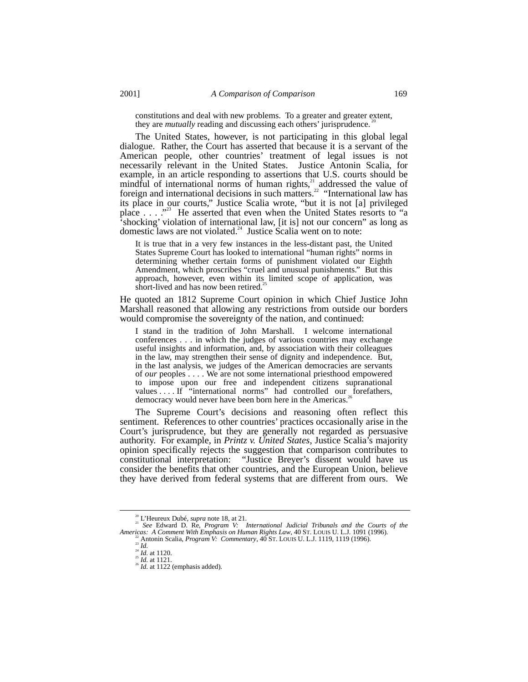constitutions and deal with new problems. To a greater and greater extent, they are *mutually* reading and discussing each others' jurisprudence.

The United States, however, is not participating in this global legal dialogue. Rather, the Court has asserted that because it is a servant of the American people, other countries' treatment of legal issues is not necessarily relevant in the United States. Justice Antonin Scalia, for example, in an article responding to assertions that U.S. courts should be mindful of international norms of human rights, $\frac{1}{2}$  addressed the value of foreign and international decisions in such matters.<sup>22</sup> "International law has its place in our courts," Justice Scalia wrote, "but it is not [a] privileged place . . . . "<sup>23</sup> He asserted that even when the United States resorts to "a 'shocking' violation of international law, [it is] not our concern" as long as 's hocking' violation of international law, [it is] not our concern'' as long as domestic laws are not violated.<sup>24</sup> Justice Scalia went on to note:

It is true that in a very few instances in the less-distant past, the United States Supreme Court has looked to international "human rights" norms in determining whether certain forms of punishment violated our Eighth Amendment, which proscribes "cruel and unusual punishments." But this approach, however, even within its limited scope of application, was short-lived and has now been retired.<sup>2</sup>

He quoted an 1812 Supreme Court opinion in which Chief Justice John Marshall reasoned that allowing any restrictions from outside our borders would compromise the sovereignty of the nation, and continued:

I stand in the tradition of John Marshall. I welcome international conferences . . . in which the judges of various countries may exchange useful insights and information, and, by association with their colleagues in the law, may strengthen their sense of dignity and independence. But, in the last analysis, we judges of the American democracies are servants of *our* peoples . . . . We are not some international priesthood empowered to impose upon our free and independent citizens supranational values ... If "international norms" had controlled our forefathers, democracy would never have been born here in the Americas.<sup>2</sup>

The Supreme Court's decisions and reasoning often reflect this sentiment. References to other countries' practices occasionally arise in the Court's jurisprudence, but they are generally not regarded as persuasive authority. For example, in *Printz v. United States*, Justice Scalia's majority opinion specifically rejects the suggestion that comparison contributes to constitutional interpretation: "Justice Breyer's dissent would have us consider the benefits that other countries, and the European Union, believe they have derived from federal systems that are different from ours. We

<sup>&</sup>lt;sup>20</sup> L'Heureux Dubé, *supra* note 18, at 21.<br><sup>21</sup> *See* Edward D. Re, *Program V: International Judicial Tribunals and the Courts of the*<br>*Americas: A Comment With Emphasis on Human Rights Law*, 40 ST. LOUIS U. L.J. 1091 (

<sup>&</sup>lt;sup>22</sup> Antonin Scalia, *Program V:* Commentary, 40 ST. Louis U. L.J. 1119, 1119 (1996).<br><sup>23</sup> Id.<br><sup>24</sup> Id. at 1120.<br><sup>25</sup> Id. at 1121.<br><sup>25</sup> Id. at 1121.<br><sup>26</sup> Id. at 1122 (emphasis added).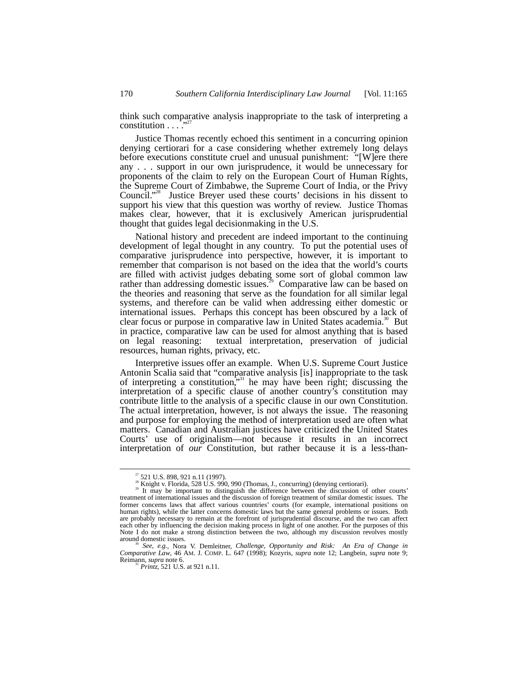think such comparative analysis inappropriate to the task of interpreting a constitution . . . ." 27

Justice Thomas recently echoed this sentiment in a concurring opinion denying certiorari for a case considering whether extremely long delays before executions constitute cruel and unusual punishment: "[W]ere there any . . . support in our own jurisprudence, it would be unnecessary for proponents of the claim to rely on the European Court of Human Rights, the Supreme Court of Zimbabwe, the Supreme Court of India, or the Privy Council." 28 Justice Breyer used these courts' decisions in his dissent to support his view that this question was worthy of review. Justice Thomas makes clear, however, that it is exclusively American jurisprudential thought that guides legal decisionmaking in the U.S.

National history and precedent are indeed important to the continuing development of legal thought in any country. To put the potential uses of comparative jurisprudence into perspective, however, it is important to remember that comparison is not based on the idea that the world's courts are filled with activist judges debating some sort of global common law rather than addressing domestic issues.<sup>29</sup> Comparative law can be based on the theories and reasoning that serve as the foundation for all similar legal systems, and therefore can be valid when addressing either domestic or international issues. Perhaps this concept has been obscured by a lack of clear focus or purpose in comparative law in United States academia.<sup>30</sup> But in practice, comparative law can be used for almost anything that is based<br>on legal reasoning: textual interpretation, preservation of judicial textual interpretation, preservation of judicial resources, human rights, privacy, etc.

Interpretive issues offer an example. When U.S. Supreme Court Justice Antonin Scalia said that "comparative analysis [is] inappropriate to the task of interpreting a constitution,<sup>331</sup> he may have been right; discussing the interpretation of a specific clause of another country's constitution may contribute little to the analysis of a specific clause in our own Constitution. The actual interpretation, however, is not always the issue. The reasoning and purpose for employing the method of interpretation used are often what matters. Canadian and Australian justices have criticized the United States Courts' use of originalism—not because it results in an incorrect interpretation of *our* Constitution, but rather because it is a less-than-

<sup>&</sup>lt;sup>27</sup> 521 U.S. 898, 921 n.11 (1997).<br><sup>28</sup> Knight v. Florida, 528 U.S. 990, 990 (Thomas, J., concurring) (denying certiorari).<br><sup>29</sup> It may be important to distinguish the difference between the discussion of other courts'<br>t former concerns laws that affect various countries' courts (for example, international positions on human rights), while the latter concerns domestic laws but the same general problems or issues. Both are probably necessary to remain at the forefront of jurisprudential discourse, and the two can affect each other by influencing the decision making process in light of one another. For the purposes of this Note I do not make a strong distinction between the two, although my discussion revolves mostly around domestic issues.

around domestic issues. <sup>30</sup> *See, e.g.*, Nora V. Demleitner, *Challenge, Opportunity and Risk: An Era of Change in Comparative Law*, 46 AM. J. COMP. L. 647 (1998); Kozyris, *supra* note 12; Langbein, *supra* note 9;

<sup>&</sup>lt;sup>31</sup> *Printz*, 521 U.S. at 921 n.11.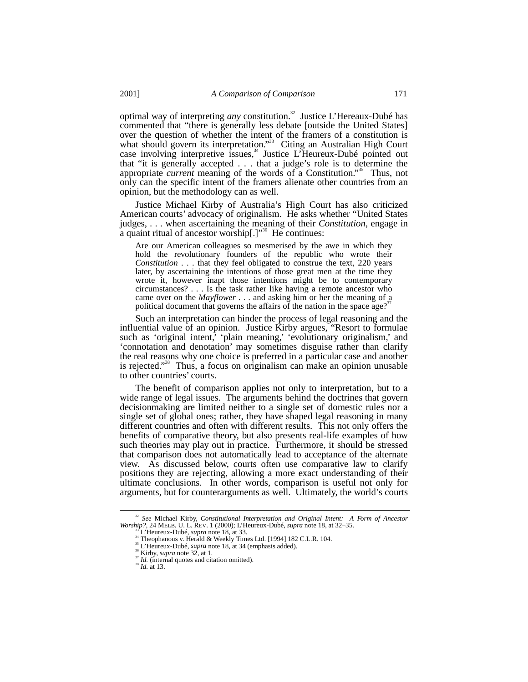optimal way of interpreting *any* constitution.<sup>32</sup> Justice L'Hereaux-Dubé has commented that "there is generally less debate [outside the United States] over the question of whether the intent of the framers of a constitution is what should govern its interpretation."<sup>33</sup> Citing an Australian High Court case involving interpretive issues,<sup>34</sup> Justice L'Heureux-Dubé pointed out that "it is generally accepted . . . that a judge's role is to determine the appropriate *current* meaning of the words of a Constitution."<sup>35</sup> Thus, not only can the specific intent of the framers alienate other countries from an opinion, but the methodology can as well.

Justice Michael Kirby of Australia's High Court has also criticized American courts' advocacy of originalism. He asks whether "United States judges, . . . when ascertaining the meaning of their *Constitution*, engage in a quaint ritual of ancestor worship[.]"<sup>36</sup> He continues:

Are our American colleagues so mesmerised by the awe in which they hold the revolutionary founders of the republic who wrote their *Constitution* . . . that they feel obligated to construe the text, 220 years later, by ascertaining the intentions of those great men at the time they wrote it, however inapt those intentions might be to contemporary circumstances? . . . Is the task rather like having a remote ancestor who came over on the *Mayflower* . . . and asking him or her the meaning of a political document that governs the affairs of the nation in the space age?<sup>37</sup>

Such an interpretation can hinder the process of legal reasoning and the influential value of an opinion. Justice Kirby argues, "Resort to formulae such as 'original intent,' 'plain meaning,' 'evolutionary originalism,' and 'connotation and denotation' may sometimes disguise rather than clarify the real reasons why one choice is preferred in a particular case and another is rejected." 38 Thus, a focus on originalism can make an opinion unusable to other countries' courts.

The benefit of comparison applies not only to interpretation, but to a wide range of legal issues. The arguments behind the doctrines that govern decisionmaking are limited neither to a single set of domestic rules nor a single set of global ones; rather, they have shaped legal reasoning in many different countries and often with different results. This not only offers the benefits of comparative theory, but also presents real-life examples of how such theories may play out in practice. Furthermore, it should be stressed that comparison does not automatically lead to acceptance of the alternate view. As discussed below, courts often use comparative law to clarify positions they are rejecting, allowing a more exact understanding of their ultimate conclusions. In other words, comparison is useful not only for arguments, but for counterarguments as well. Ultimately, the world's courts

<sup>&</sup>lt;sup>32</sup> *See* Michael Kirby, *Constitutional Interpretation and Original Intent: A Form of Ancestor Worship?, 24 MELB. U. L. REV. 1 (2000); L'Heureux-Dubé, <i>supra* note 18, at 32–35.

<sup>&</sup>lt;sup>33</sup> L'Heureux-Dubé, *supra* note 18, at 33.<br><sup>34</sup> Theophanous v. Herald & Weekly Times Ltd. [1994] 182 C.L.R. 104.<br><sup>36</sup> L'Heureux-Dubé, *supra* note 18, at 34 (emphasis added).<br><sup>36</sup> Kirby, *supra* note 32, at 1.<br><sup>37</sup> Id.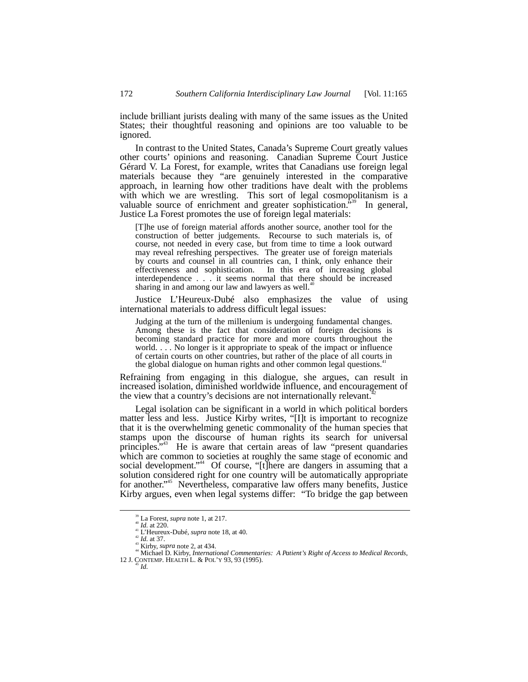include brilliant jurists dealing with many of the same issues as the United States; their thoughtful reasoning and opinions are too valuable to be ignored.

In contrast to the United States, Canada's Supreme Court greatly values other courts' opinions and reasoning. Canadian Supreme Court Justice Gérard V. La Forest, for example, writes that Canadians use foreign legal materials because they "are genuinely interested in the comparative approach, in learning how other traditions have dealt with the problems with which we are wrestling. This sort of legal cosmopolitanism is a valuable source of enrichment and greater sophistication.<sup>539</sup> In general, Justice La Forest promotes the use of foreign legal materials:

[T]he use of foreign material affords another source, another tool for the construction of better judgements. Recourse to such materials is, of course, not needed in every case, but from time to time a look outward may reveal refreshing perspectives. The greater use of foreign materials by courts and counsel in all countries can, I think, only enhance their effectiveness and sophistication. In this era of increasing global interdependence . . . it seems normal that there should be increased sharing in and among our law and lawyers as well.<sup>4</sup>

Justice L'Heureux-Dubé also emphasizes the value of using international materials to address difficult legal issues:

Judging at the turn of the millenium is undergoing fundamental changes. Among these is the fact that consideration of foreign decisions is becoming standard practice for more and more courts throughout the world. . . . No longer is it appropriate to speak of the impact or influence of certain courts on other countries, but rather of the place of all courts in the global dialogue on human rights and other common legal questions.<sup>4</sup>

Refraining from engaging in this dialogue, she argues, can result in increased isolation, diminished worldwide influence, and encouragement of the view that a country's decisions are not internationally relevant.

Legal isolation can be significant in a world in which political borders matter less and less. Justice Kirby writes, "[I]t is important to recognize that it is the overwhelming genetic commonality of the human species that stamps upon the discourse of human rights its search for universal principles.<sup>5,43</sup> He is aware that certain areas of law "present quandaries which are common to societies at roughly the same stage of economic and social development."<sup>44</sup> Of course, "[t]here are dangers in assuming that a solution considered right for one country will be automatically appropriate for another."<sup>45</sup> Nevertheless, comparative law offers many benefits, Justice Kirby argues, even when legal systems differ: "To bridge the gap between

<sup>&</sup>lt;sup>39</sup> La Forest, *supra* note 1, at 217.<br>
<sup>40</sup> Id. at 220.<br>
<sup>41</sup> L'Heureux-Dubé, *supra* note 18, at 40.<br>
<sup>42</sup> Id. at 37.<br>
<sup>43</sup> Kirby, *supra* note 2, at 434.<br>
<sup>43</sup> Kirby, *International Commentaries: A Patient's Right of*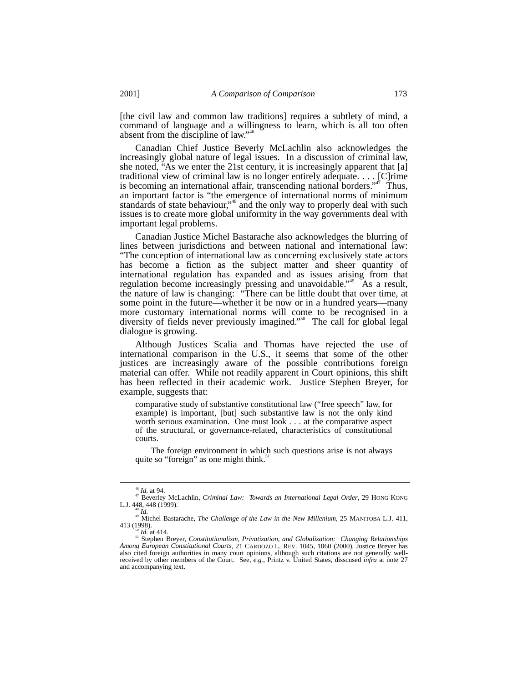[the civil law and common law traditions] requires a subtlety of mind, a command of language and a willingness to learn, which is all too often absent from the discipline of law."<sup>46</sup>

Canadian Chief Justice Beverly McLachlin also acknowledges the increasingly global nature of legal issues. In a discussion of criminal law, she noted, "As we enter the 21st century, it is increasingly apparent that [a] traditional view of criminal law is no longer entirely adequate. . . . [C]rime is becoming an international affair, transcending national borders."<sup>47</sup> Thus, an important factor is "the emergence of international norms of minimum standards of state behaviour,"<sup>48</sup> and the only way to properly deal with such issues is to create more global uniformity in the way governments deal with important legal problems.

Canadian Justice Michel Bastarache also acknowledges the blurring of lines between jurisdictions and between national and international law: "The conception of international law as concerning exclusively state actors has become a fiction as the subject matter and sheer quantity of international regulation has expanded and as issues arising from that regulation become increasingly pressing and unavoidable."<sup>49</sup> As a result, the nature of law is changing: "There can be little doubt that over time, at some point in the future—whether it be now or in a hundred years—many more customary international norms will come to be recognised in a diversity of fields never previously imagined." 50 The call for global legal dialogue is growing.

Although Justices Scalia and Thomas have rejected the use of international comparison in the U.S., it seems that some of the other justices are increasingly aware of the possible contributions foreign material can offer. While not readily apparent in Court opinions, this shift has been reflected in their academic work. Justice Stephen Breyer, for example, suggests that:

comparative study of substantive constitutional law ("free speech" law, for example) is important, [but] such substantive law is not the only kind worth serious examination. One must look . . . at the comparative aspect of the structural, or governance-related, characteristics of constitutional courts.

The foreign environment in which such questions arise is not always quite so "foreign" as one might think.<sup>5</sup>

<sup>46</sup> *Id.* at 94. 47 Beverley McLachlin, *Criminal Law: Towards an International Legal Order*, 29 HONG KONG

<sup>&</sup>lt;sup>48</sup> *Id. <sup>49</sup>* Michel Bastarache, *The Challenge of the Law in the New Millenium*, 25 MANITOBA L.J. 411, 413 (1998).

<sup>&</sup>lt;sup>50</sup> *Id.* at 414.<br><sup>51</sup> Stephen Breyer, *Constitutionalism, Privatization, and Globalization: Changing Relationships Among European Constitutional Courts*, 21 CARDOZO L. REV. 1045, 1060 (2000). Justice Breyer has also cited foreign authorities in many court opinions, although such citations are not generally well-received by other members of the Court. See*, e.g.*, Printz v. United States, disscused *infra* at note 27 and accompanying text.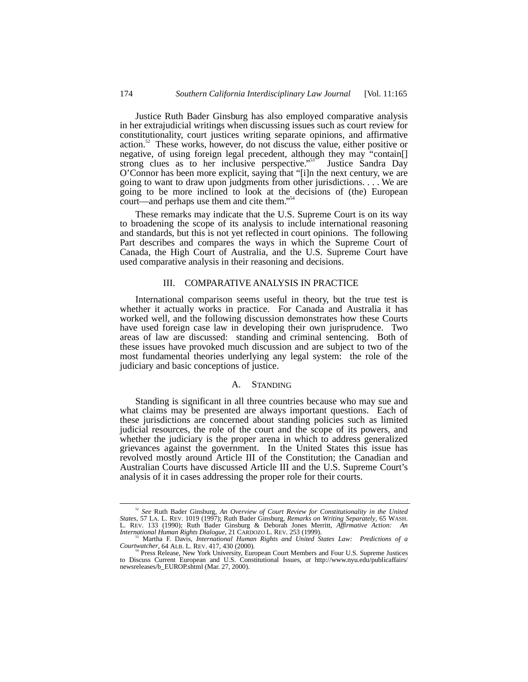Justice Ruth Bader Ginsburg has also employed comparative analysis in her extrajudicial writings when discussing issues such as court review for constitutionality, court justices writing separate opinions, and affirmative action. $52$  These works, however, do not discuss the value, either positive or negative, of using foreign legal precedent, although they may "contain[] strong clues as to her inclusive perspective."<sup>53</sup> Justice Sandra Day O'Connor has been more explicit, saying that "[i]n the next century, we are going to want to draw upon judgments from other jurisdictions. . . . We are going to be more inclined to look at the decisions of (the) European court—and perhaps use them and cite them." 54

These remarks may indicate that the U.S. Supreme Court is on its way to broadening the scope of its analysis to include international reasoning and standards, but this is not yet reflected in court opinions. The following Part describes and compares the ways in which the Supreme Court of Canada, the High Court of Australia, and the U.S. Supreme Court have used comparative analysis in their reasoning and decisions.

## III. COMPARATIVE ANALYSIS IN PRACTICE

International comparison seems useful in theory, but the true test is whether it actually works in practice. For Canada and Australia it has worked well, and the following discussion demonstrates how these Courts have used foreign case law in developing their own jurisprudence. Two areas of law are discussed: standing and criminal sentencing. Both of these issues have provoked much discussion and are subject to two of the most fundamental theories underlying any legal system: the role of the judiciary and basic conceptions of justice.

#### A. STANDING

Standing is significant in all three countries because who may sue and what claims may be presented are always important questions. Each of these jurisdictions are concerned about standing policies such as limited judicial resources, the role of the court and the scope of its powers, and whether the judiciary is the proper arena in which to address generalized grievances against the government. In the United States this issue has revolved mostly around Article III of the Constitution; the Canadian and Australian Courts have discussed Article III and the U.S. Supreme Court's analysis of it in cases addressing the proper role for their courts.

 <sup>52</sup> *See* Ruth Bader Ginsburg, *An Overview of Court Review for Constitutionality in the United States*, 57 LA. L. REV. 1019 (1997); Ruth Bader Ginsburg, *Remarks on Writing Separately*, 65 WASH. L. REV. 133 (1990); Ruth Bader Ginsburg & Deborah Jones Merritt, *Affirmative Action: An*

*III* Martha F. Davis, *International Human Rights and United States Law: Predictions of a*<br>Courtwatcher, 64 ALB. L. REV. 417, 430 (2000).

Courtwatcher, 64 ALB. L. REV. 417, 430 (2000).<br><sup>54</sup> Press Release, New York University, European Court Members and Four U.S. Supreme Justices<br>to Discuss Current European and U.S. Constitutional Issues, *at* http://www.nyu. newsreleases/b\_EUROP.shtml (Mar. 27, 2000).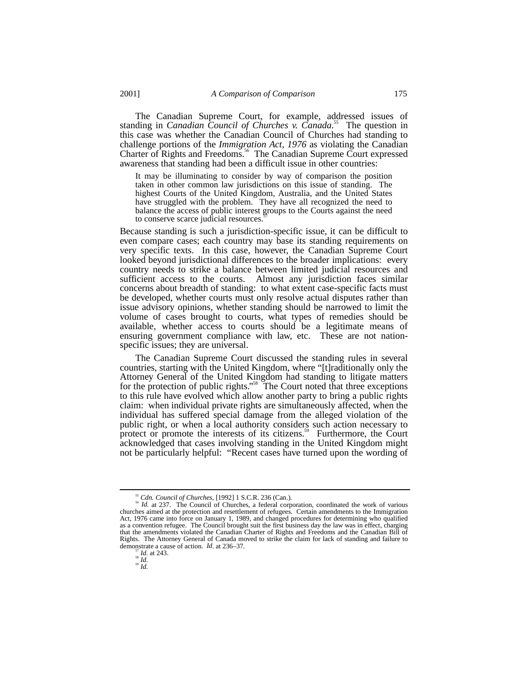The Canadian Supreme Court, for example, addressed issues of standing in *Canadian Council of Churches v. Canada*. 55 The question in this case was whether the Canadian Council of Churches had standing to challenge portions of the *Immigration Act, 1976* as violating the Canadian Charter of Rights and Freedoms.56 The Canadian Supreme Court expressed awareness that standing had been a difficult issue in other countries:

It may be illuminating to consider by way of comparison the position taken in other common law jurisdictions on this issue of standing. The highest Courts of the United Kingdom, Australia, and the United States have struggled with the problem. They have all recognized the need to balance the access of public interest groups to the Courts against the need to conserve scarce judicial resources.

Because standing is such a jurisdiction-specific issue, it can be difficult to even compare cases; each country may base its standing requirements on very specific texts. In this case, however, the Canadian Supreme Court looked beyond jurisdictional differences to the broader implications: every country needs to strike a balance between limited judicial resources and sufficient access to the courts. Almost any jurisdiction faces similar concerns about breadth of standing: to what extent case-specific facts must be developed, whether courts must only resolve actual disputes rather than issue advisory opinions, whether standing should be narrowed to limit the volume of cases brought to courts, what types of remedies should be available, whether access to courts should be a legitimate means of ensuring government compliance with law, etc. These are not nationspecific issues; they are universal.

The Canadian Supreme Court discussed the standing rules in several countries, starting with the United Kingdom, where "[t]raditionally only the Attorney General of the United Kingdom had standing to litigate matters for the protection of public rights."<sup>58</sup> The Court noted that three exceptions to this rule have evolved which allow another party to bring a public rights claim: when individual private rights are simultaneously affected, when the individual has suffered special damage from the alleged violation of the public right, or when a local authority considers such action necessary to protect or promote the interests of its citizens.<sup>59</sup> Furthermore, the Court acknowledged that cases involving standing in the United Kingdom might not be particularly helpful: "Recent cases have turned upon the wording of

<sup>&</sup>lt;sup>55</sup> *Cdn. Council of Churches*, [1992] 1 S.C.R. 236 (Can.).<br><sup>56</sup> *Id.* at 237. The Council of Churches, a federal corporation, coordinated the work of various churches aimed at the protection and resettlement of refugees. Certain amendments to the Immigration Act, 1976 came into force on January 1, 1989, and changed procedures for determining who qualified as a convention refugee. The Council brought suit the first business day the law was in effect, charging that the amendments violated the Canadian Charter of Rights and Freedoms and the Canadian Bill of Rights. The Attorney General of Canada moved to strike the claim for lack of standing and failure to demonstrate a cause of action. *Id.* at 236–37.<br><sup>57</sup> *Id.* at 243.<br><sup>58</sup> *Id.* 59<br>*Id.*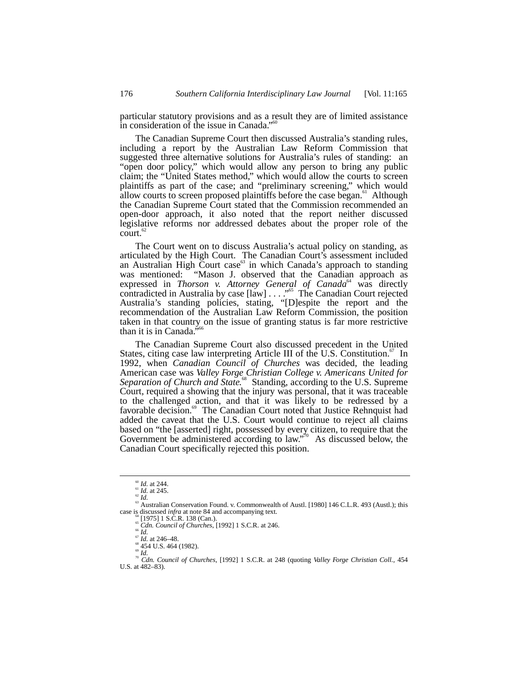particular statutory provisions and as a result they are of limited assistance in consideration of the issue in Canada."<sup>60</sup>

The Canadian Supreme Court then discussed Australia's standing rules, including a report by the Australian Law Reform Commission that suggested three alternative solutions for Australia's rules of standing: an "open door policy," which would allow any person to bring any public claim; the "United States method," which would allow the courts to screen plaintiffs as part of the case; and "preliminary screening," which would allow courts to screen proposed plaintiffs before the case began. $61$  Although the Canadian Supreme Court stated that the Commission recommended an open-door approach, it also noted that the report neither discussed legislative reforms nor addressed debates about the proper role of the  $count.<sub>62</sub>$ 

The Court went on to discuss Australia's actual policy on standing, as articulated by the High Court. The Canadian Court's assessment included an Australian High Court case $63$  in which Canada's approach to standing was mentioned: "Mason J. observed that the Canadian approach as expressed in *Thorson v. Attorney General of Canada*<sup>64</sup> was directly contradicted in Australia by case [law] . . . ." 65 The Canadian Court rejected Australia's standing policies, stating, "[D]espite the report and the recommendation of the Australian Law Reform Commission, the position taken in that country on the issue of granting status is far more restrictive than it is in Canada."<sup>66</sup>

The Canadian Supreme Court also discussed precedent in the United States, citing case law interpreting Article III of the U.S. Constitution.<sup>67</sup> In 1992, when *Canadian Council of Churches* was decided, the leading American case was *Valley Forge Christian College v. Americans United for Separation of Church and State.*68 Standing, according to the U.S. Supreme Court, required a showing that the injury was personal, that it was traceable to the challenged action, and that it was likely to be redressed by a favorable decision.<sup>69</sup> The Canadian Court noted that Justice Rehnquist had added the caveat that the U.S. Court would continue to reject all claims based on "the [asserted] right, possessed by every citizen, to require that the Government be administered according to law."<sup>70</sup> As discussed below, the Canadian Court specifically rejected this position.

<sup>60</sup> *Id.* at 244. <sup>61</sup> *Id.* at 245. <sup>62</sup> *Id.* at 245. <sup>62</sup> *Id.* 63 Australian Conservation Found. v. Commonwealth of Austl. [1980] 146 C.L.R. 493 (Austl.); this case is discussed *infra* at note 84 and accompanying text.<br>
<sup>64</sup> [1975] 1 S.C.R. 138 (Can.).<br>
<sup>66</sup> *Cdn. Council of Churches*, [1992] 1 S.C.R. at 246.<br>
<sup>6</sup> *Id.*<br>
<sup>6</sup> *Id.*<br>
<sup>64</sup> 454 U.S. 464 (1982).<br>
<sup>70</sup> *Cdn. Council* 

- 
- 
- 
- 

 $W = \begin{bmatrix} 4.34 & 0.33 \\ 0.42 & 0.34 \\ 0.50 & 0.45 \end{bmatrix}$ <br>
To Can. Council of Churches, [1992] 1 S.C.R. at 248 (quoting *Valley Forge Christian Coll.*, 454<br>
U.S. at 482–83).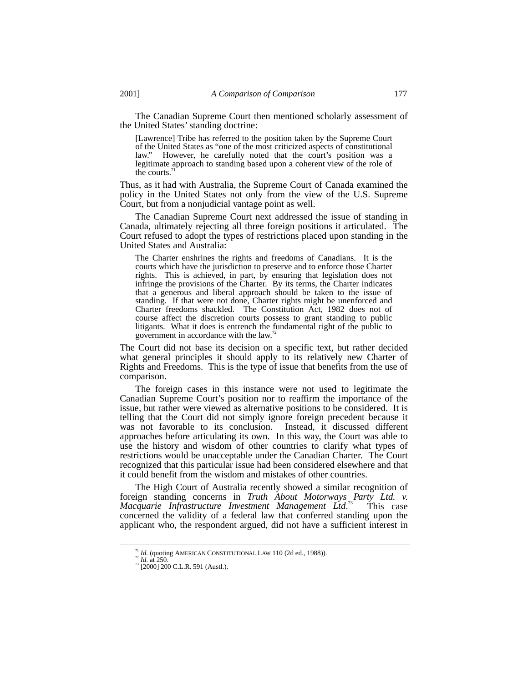The Canadian Supreme Court then mentioned scholarly assessment of the United States' standing doctrine:

[Lawrence] Tribe has referred to the position taken by the Supreme Court of the United States as "one of the most criticized aspects of constitutional law." However, he carefully noted that the court's position was a legitimate approach to standing based upon a coherent view of the role of the courts.

Thus, as it had with Australia, the Supreme Court of Canada examined the policy in the United States not only from the view of the U.S. Supreme Court, but from a nonjudicial vantage point as well.

The Canadian Supreme Court next addressed the issue of standing in Canada, ultimately rejecting all three foreign positions it articulated. The Court refused to adopt the types of restrictions placed upon standing in the United States and Australia:

The Charter enshrines the rights and freedoms of Canadians. It is the courts which have the jurisdiction to preserve and to enforce those Charter rights. This is achieved, in part, by ensuring that legislation does not infringe the provisions of the Charter. By its terms, the Charter indicates that a generous and liberal approach should be taken to the issue of standing. If that were not done, Charter rights might be unenforced and Charter freedoms shackled. The Constitution Act, 1982 does not of course affect the discretion courts possess to grant standing to public litigants. What it does is entrench the fundamental right of the public to government in accordance with the law.<sup>7</sup>

The Court did not base its decision on a specific text, but rather decided what general principles it should apply to its relatively new Charter of Rights and Freedoms. This is the type of issue that benefits from the use of comparison.

The foreign cases in this instance were not used to legitimate the Canadian Supreme Court's position nor to reaffirm the importance of the issue, but rather were viewed as alternative positions to be considered. It is telling that the Court did not simply ignore foreign precedent because it was not favorable to its conclusion. Instead, it discussed different approaches before articulating its own. In this way, the Court was able to use the history and wisdom of other countries to clarify what types of restrictions would be unacceptable under the Canadian Charter. The Court recognized that this particular issue had been considered elsewhere and that it could benefit from the wisdom and mistakes of other countries.

The High Court of Australia recently showed a similar recognition of foreign standing concerns in *Truth About Motorways Party Ltd. v. Macquarie Infrastructure Investment Management Ltd*. This case concerned the validity of a federal law that conferred standing upon the applicant who, the respondent argued, did not have a sufficient interest in

<sup>&</sup>lt;sup>71</sup> *Id.* (quoting AMERICAN CONSTITUTIONAL LAW 110 (2d ed., 1988)).<br><sup>72</sup> *Id.* at 250. 73 [2000] 200 C.L.R. 591 (Austl.).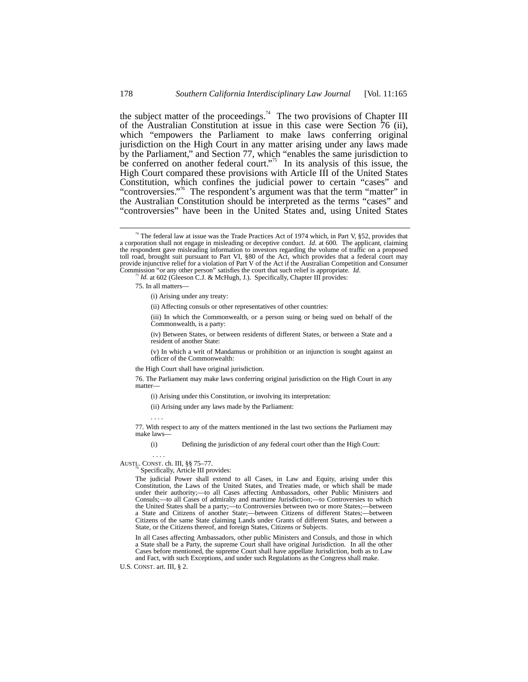the subject matter of the proceedings.<sup>74</sup> The two provisions of Chapter III of the Australian Constitution at issue in this case were Section 76 (ii), which "empowers the Parliament to make laws conferring original jurisdiction on the High Court in any matter arising under any laws made by the Parliament," and Section 77, which "enables the same jurisdiction to be conferred on another federal court." 75 In its analysis of this issue, the High Court compared these provisions with Article III of the United States Constitution, which confines the judicial power to certain "cases" and "controversies."<sup>76</sup> The respondent's argument was that the term "matter" in the Australian Constitution should be interpreted as the terms "cases" and "controversies" have been in the United States and, using United States

(iii) In which the Commonwealth, or a person suing or being sued on behalf of the Commonwealth, is a party:

(iv) Between States, or between residents of different States, or between a State and a resident of another State:

(v) In which a writ of Mandamus or prohibition or an injunction is sought against an officer of the Commonwealth:

the High Court shall have original jurisdiction.

76. The Parliament may make laws conferring original jurisdiction on the High Court in any matter––

(i) Arising under this Constitution, or involving its interpretation:

(ii) Arising under any laws made by the Parliament:

. . . .

77. With respect to any of the matters mentioned in the last two sections the Parliament may make laws––

(i) Defining the jurisdiction of any federal court other than the High Court:

. . . .

## AUSTL. CONST. ch. III,  $\S$ § 75–77.<br><sup>76</sup> Specifically, Article III provides:

The judicial Power shall extend to all Cases, in Law and Equity, arising under this Constitution, the Laws of the United States, and Treaties made, or which shall be made under their authority;—to all Cases affecting Ambassadors, other Public Ministers and Consuls;—to all Cases of admiralty and maritime Jurisdiction;—to Controversies to which the United States shall be a party;—to Controversies between two or more States;—between a State and Citizens of another State;—between Citizens of different States;—between Citizens of the same State claiming Lands under Grants of different States, and between a State, or the Citizens thereof, and foreign States, Citizens or Subjects.

In all Cases affecting Ambassadors, other public Ministers and Consuls, and those in which a State shall be a Party, the supreme Court shall have original Jurisdiction. In all the other Cases before mentioned, the supreme Court shall have appellate Jurisdiction, both as to Law and Fact, with such Exceptions, and under such Regulations as the Congress shall make.

U.S. CONST. art. III, § 2.

<sup>&</sup>lt;sup>74</sup> The federal law at issue was the Trade Practices Act of 1974 which, in Part V, §52, provides that a corporation shall not engage in misleading or deceptive conduct. *Id*. at 600. The applicant, claiming the respondent gave misleading information to investors regarding the volume of traffic on a proposed toll road, brought suit pursuant to Part VI, §80 of the Act, which provides that a federal court may provide injunctive relief for a violation of Part V of the Act if the Australian Competition and Consumer Commission "or any other person" satisfies the court that such relief is appropriate. *Id*.

Id. at 602 (Gleeson C.J. & McHugh, J.). Specifically, Chapter III provides:

<sup>75.</sup> In all matters––

<sup>(</sup>i) Arising under any treaty:

<sup>(</sup>ii) Affecting consuls or other representatives of other countries: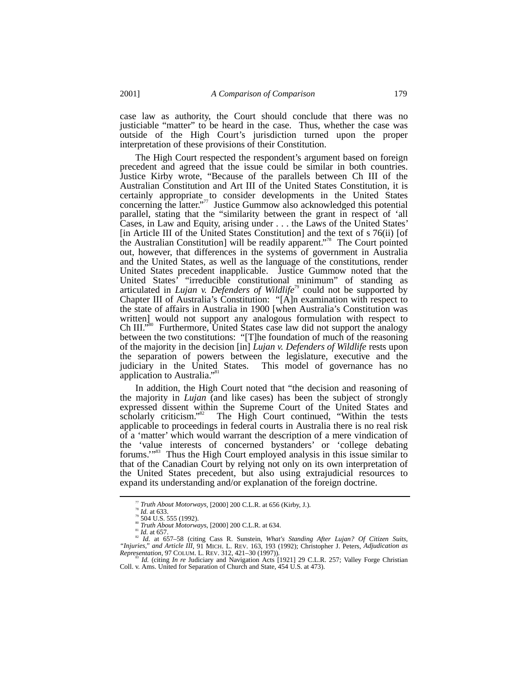case law as authority, the Court should conclude that there was no justiciable "matter" to be heard in the case. Thus, whether the case was outside of the High Court's jurisdiction turned upon the proper interpretation of these provisions of their Constitution.

The High Court respected the respondent's argument based on foreign precedent and agreed that the issue could be similar in both countries. Justice Kirby wrote, "Because of the parallels between Ch III of the Australian Constitution and Art III of the United States Constitution, it is certainly appropriate to consider developments in the United States concerning the latter." 77 Justice Gummow also acknowledged this potential parallel, stating that the "similarity between the grant in respect of 'all Cases, in Law and Equity, arising under . . . the Laws of the United States' [in Article III of the United States Constitution] and the text of s 76(ii) [of the Australian Constitution] will be readily apparent." 78 The Court pointed out, however, that differences in the systems of government in Australia and the United States, as well as the language of the constitutions, render United States precedent inapplicable. Justice Gummow noted that the United States' "irreducible constitutional minimum" of standing as articulated in *Lujan v. Defenders of Wildlife<sup>79</sup>* could not be supported by Chapter III of Australia's Constitution: "[A]n examination with respect to the state of affairs in Australia in 1900 [when Australia's Constitution was written] would not support any analogous formulation with respect to  $Ch III."$ Furthermore, United States case law did not support the analogy between the two constitutions: "[T]he foundation of much of the reasoning of the majority in the decision [in] *Lujan v. Defenders of Wildlife* rests upon the separation of powers between the legislature, executive and the judiciary in the United States. This model of governance has no application to Australia."<sup>81</sup>

In addition, the High Court noted that "the decision and reasoning of the majority in *Lujan* (and like cases) has been the subject of strongly expressed dissent within the Supreme Court of the United States and scholarly criticism."<sup>82</sup> The High Court continued, "Within the tests applicable to proceedings in federal courts in Australia there is no real risk of a 'matter' which would warrant the description of a mere vindication of the 'value interests of concerned bystanders' or 'college debating forums."<sup>83</sup> Thus the High Court employed analysis in this issue similar to that of the Canadian Court by relying not only on its own interpretation of the United States precedent, but also using extrajudicial resources to expand its understanding and/or explanation of the foreign doctrine.

<sup>&</sup>lt;sup>77</sup> Truth About Motorways, [2000] 200 C.L.R. at 656 (Kirby, J.).<br><sup>79</sup> Id. at 633.<br><sup>79</sup> 504 U.S. 555 (1992).<br><sup>88</sup> Truth About Motorways, [2000] 200 C.L.R. at 634.<br><sup>81</sup> Id. at 657.<br><sup>82</sup> Id. at 657-58 (citing Cass R. Sunste *"Injuries," and Article III*, 91 MICH. L. REV. 163, 193 (1992); Christopher J. Peters, *Adjudication as*

*Representation*, 97 COLUM. L. REV. 312, 421–30 (1997)).<br><sup>83</sup> *Id.* (citing *In re* Judiciary and Navigation Acts [1921] 29 C.L.R. 257; Valley Forge Christian Coll. v. Ams. United for Separation of Church and State, 454 U.S. at 473).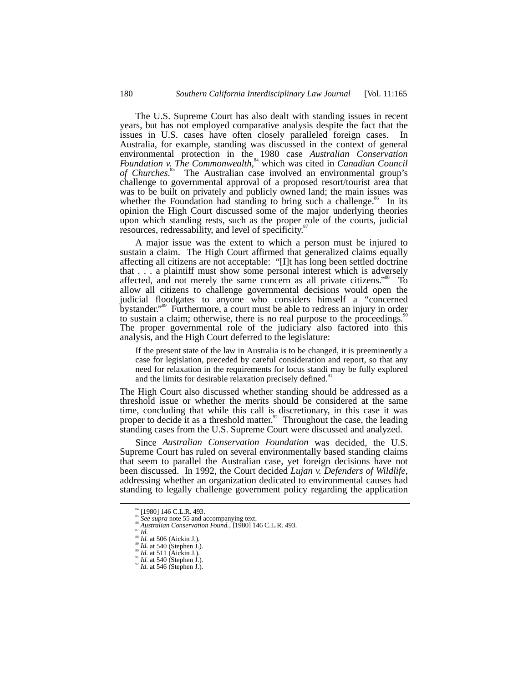The U.S. Supreme Court has also dealt with standing issues in recent years, but has not employed comparative analysis despite the fact that the issues in U.S. cases have often closely paralleled foreign cases. In Australia, for example, standing was discussed in the context of general environmental protection in the 1980 case *Australian Conservation Foundation v. The Commonwealth*, 84 which was cited in *Canadian Council of Churches*. 85 The Australian case involved an environmental group's challenge to governmental approval of a proposed resort/tourist area that was to be built on privately and publicly owned land; the main issues was whether the Foundation had standing to bring such a challenge.<sup>86</sup> In its opinion the High Court discussed some of the major underlying theories upon which standing rests, such as the proper role of the courts, judicial resources, redressability, and level of specificity.<sup>8</sup>

A major issue was the extent to which a person must be injured to sustain a claim. The High Court affirmed that generalized claims equally affecting all citizens are not acceptable: "[I]t has long been settled doctrine that . . . a plaintiff must show some personal interest which is adversely affected, and not merely the same concern as all private citizens."<sup>88</sup> To allow all citizens to challenge governmental decisions would open the judicial floodgates to anyone who considers himself a "concerned bystander." 89 Furthermore, a court must be able to redress an injury in order to sustain a claim; otherwise, there is no real purpose to the proceedings.<sup>9</sup> The proper governmental role of the judiciary also factored into this analysis, and the High Court deferred to the legislature:

If the present state of the law in Australia is to be changed, it is preeminently a case for legislation, preceded by careful consideration and report, so that any need for relaxation in the requirements for locus standi may be fully explored and the limits for desirable relaxation precisely defined.<sup>91</sup>

The High Court also discussed whether standing should be addressed as a threshold issue or whether the merits should be considered at the same time, concluding that while this call is discretionary, in this case it was proper to decide it as a threshold matter.<sup>92</sup> Throughout the case, the leading standing cases from the U.S. Supreme Court were discussed and analyzed.

Since *Australian Conservation Foundation* was decided, the U.S. Supreme Court has ruled on several environmentally based standing claims that seem to parallel the Australian case, yet foreign decisions have not been discussed. In 1992, the Court decided *Lujan v. Defenders of Wildlife*, addressing whether an organization dedicated to environmental causes had standing to legally challenge government policy regarding the application

<sup>&</sup>lt;sup>34</sup> [1980] 146 C.L.R. 493.<br>
<sup>35</sup> *See supra* note 55 and accompanying text.<br>
<sup>36</sup> *Australian Conservation Found.*, [1980] 146 C.L.R. 493.<br>
<sup>37</sup> *Id.* at 506 (Aickin J.).<br>
<sup>39</sup> *Id.* at 540 (Stephen J.).<br>
<sup>91</sup> *Id.* at 5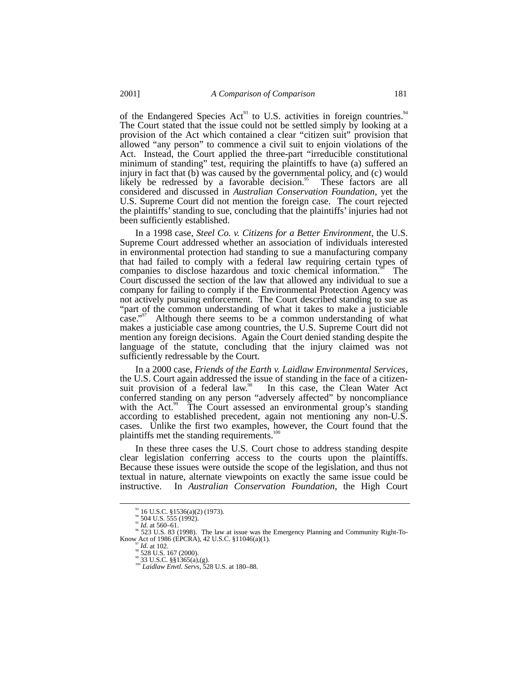of the Endangered Species Act<sup>93</sup> to U.S. activities in foreign countries.<sup>94</sup> The Court stated that the issue could not be settled simply by looking at a provision of the Act which contained a clear "citizen suit" provision that allowed "any person" to commence a civil suit to enjoin violations of the Act. Instead, the Court applied the three-part "irreducible constitutional minimum of standing" test, requiring the plaintiffs to have (a) suffered an injury in fact that (b) was caused by the governmental policy, and (c) would likely be redressed by a favorable decision.<sup>95</sup> These factors are all considered and discussed in *Australian Conservation Foundation*, yet the U.S. Supreme Court did not mention the foreign case. The court rejected the plaintiffs' standing to sue, concluding that the plaintiffs' injuries had not been sufficiently established.

In a 1998 case, *Steel Co. v. Citizens for a Better Environment*, the U.S. Supreme Court addressed whether an association of individuals interested in environmental protection had standing to sue a manufacturing company that had failed to comply with a federal law requiring certain types of companies to disclose hazardous and toxic chemical information.<sup>96</sup> The Court discussed the section of the law that allowed any individual to sue a company for failing to comply if the Environmental Protection Agency was not actively pursuing enforcement. The Court described standing to sue as "part of the common understanding of what it takes to make a justiciable case." Although there seems to be a common understanding of what makes a justiciable case among countries, the U.S. Supreme Court did not mention any foreign decisions. Again the Court denied standing despite the language of the statute, concluding that the injury claimed was not sufficiently redressable by the Court.

In a 2000 case, *Friends of the Earth v. Laidlaw Environmental Services*, the U.S. Court again addressed the issue of standing in the face of a citizensuit provision of a federal law.<sup>98</sup> In this case, the Clean Water Act conferred standing on any person "adversely affected" by noncompliance with the Act.<sup>99</sup> The Court assessed an environmental group's standing according to established precedent, again not mentioning any non-U.S. cases. Unlike the first two examples, however, the Court found that the plaintiffs met the standing requirements.<sup>100</sup>

In these three cases the U.S. Court chose to address standing despite clear legislation conferring access to the courts upon the plaintiffs. Because these issues were outside the scope of the legislation, and thus not textual in nature, alternate viewpoints on exactly the same issue could be instructive. In *Australian Conservation Foundation*, the High Court

<sup>&</sup>lt;sup>93</sup> 16 U.S.C. §1536(a)(2) (1973).<br><sup>94</sup> 504 U.S. 555 (1992).<br><sup>95</sup> *Id.* at 560–61.<br><sup>96</sup> 523 U.S. 83 (1998). The law at issue was the Emergency Planning and Community Right-To-<br>Know Act of 1986 (EPCRA), 42 U.S.C. §11046(a)

vn. Act of 1986 (EPCRA), 42 U.S.C. §11046<br>
97 *Id.* at 102.<br><sup>99</sup> 33 U.S.C. §§1365(a),(g). <sup>100</sup> *Laidlaw Envtl. Servs*, 528 U.S. at 180–88.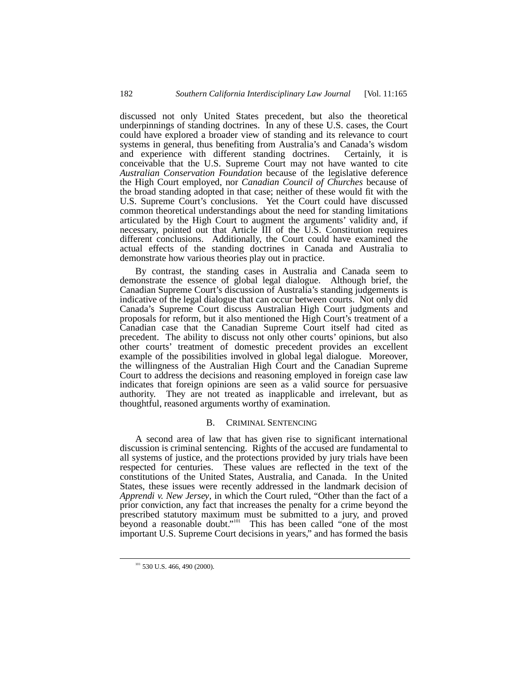discussed not only United States precedent, but also the theoretical underpinnings of standing doctrines. In any of these U.S. cases, the Court could have explored a broader view of standing and its relevance to court systems in general, thus benefiting from Australia's and Canada's wisdom and experience with different standing doctrines. Certainly, it is conceivable that the U.S. Supreme Court may not have wanted to cite *Australian Conservation Foundation* because of the legislative deference the High Court employed, nor *Canadian Council of Churches* because of the broad standing adopted in that case; neither of these would fit with the U.S. Supreme Court's conclusions. Yet the Court could have discussed common theoretical understandings about the need for standing limitations articulated by the High Court to augment the arguments' validity and, if necessary, pointed out that Article III of the U.S. Constitution requires different conclusions. Additionally, the Court could have examined the actual effects of the standing doctrines in Canada and Australia to demonstrate how various theories play out in practice.

By contrast, the standing cases in Australia and Canada seem to demonstrate the essence of global legal dialogue. Although brief, the Canadian Supreme Court's discussion of Australia's standing judgements is indicative of the legal dialogue that can occur between courts. Not only did Canada's Supreme Court discuss Australian High Court judgments and proposals for reform, but it also mentioned the High Court's treatment of a Canadian case that the Canadian Supreme Court itself had cited as precedent. The ability to discuss not only other courts' opinions, but also other courts' treatment of domestic precedent provides an excellent example of the possibilities involved in global legal dialogue. Moreover, the willingness of the Australian High Court and the Canadian Supreme Court to address the decisions and reasoning employed in foreign case law indicates that foreign opinions are seen as a valid source for persuasive authority. They are not treated as inapplicable and irrelevant, but as thoughtful, reasoned arguments worthy of examination.

### B. CRIMINAL SENTENCING

A second area of law that has given rise to significant international discussion is criminal sentencing. Rights of the accused are fundamental to all systems of justice, and the protections provided by jury trials have been respected for centuries. These values are reflected in the text of the constitutions of the United States, Australia, and Canada. In the United States, these issues were recently addressed in the landmark decision of *Apprendi v. New Jersey*, in which the Court ruled, "Other than the fact of a prior conviction, any fact that increases the penalty for a crime beyond the prescribed statutory maximum must be submitted to a jury, and proved beyond a reasonable doubt."<sup>101</sup> This has been called "one of the most important U.S. Supreme Court decisions in years," and has formed the basis

 $101$  530 U.S. 466, 490 (2000).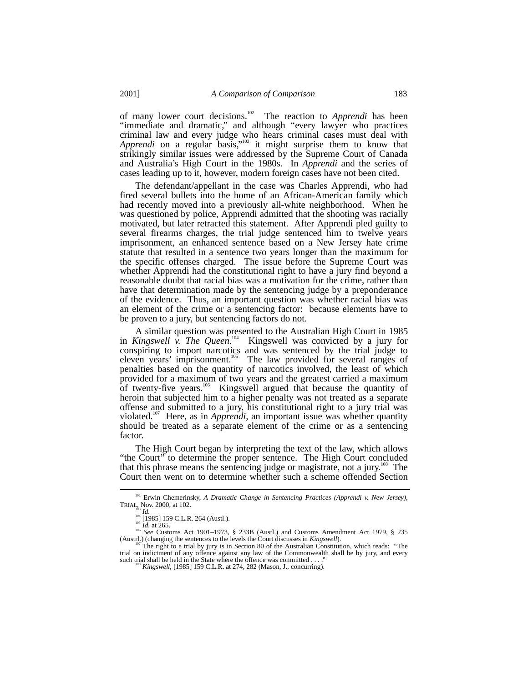of many lower court decisions.102 The reaction to *Apprendi* has been "immediate and dramatic," and although "every lawyer who practices criminal law and every judge who hears criminal cases must deal with Apprendi on a regular basis,"<sup>103</sup> it might surprise them to know that strikingly similar issues were addressed by the Supreme Court of Canada and Australia's High Court in the 1980s. In *Apprendi* and the series of cases leading up to it, however, modern foreign cases have not been cited.

The defendant/appellant in the case was Charles Apprendi, who had fired several bullets into the home of an African-American family which had recently moved into a previously all-white neighborhood. When he was questioned by police, Apprendi admitted that the shooting was racially motivated, but later retracted this statement. After Apprendi pled guilty to several firearms charges, the trial judge sentenced him to twelve years imprisonment, an enhanced sentence based on a New Jersey hate crime statute that resulted in a sentence two years longer than the maximum for the specific offenses charged. The issue before the Supreme Court was whether Apprendi had the constitutional right to have a jury find beyond a reasonable doubt that racial bias was a motivation for the crime, rather than have that determination made by the sentencing judge by a preponderance of the evidence. Thus, an important question was whether racial bias was an element of the crime or a sentencing factor: because elements have to be proven to a jury, but sentencing factors do not.

A similar question was presented to the Australian High Court in 1985 in *Kingswell* v. The Queen.<sup>104</sup> Kingswell was convicted by a jury for conspiring to import narcotics and was sentenced by the trial judge to eleven years' imprisonment.<sup>105</sup> The law provided for several ranges of penalties based on the quantity of narcotics involved, the least of which provided for a maximum of two years and the greatest carried a maximum of twenty-five years.<sup>106</sup> Kingswell argued that because the quantity of heroin that subjected him to a higher penalty was not treated as a separate offense and submitted to a jury, his constitutional right to a jury trial was violated.<sup>107</sup> Here, as in *Apprendi*, an important issue was whether quantity should be treated as a separate element of the crime or as a sentencing factor.

The High Court began by interpreting the text of the law, which allows "the Court" to determine the proper sentence. The High Court concluded that this phrase means the sentencing judge or magistrate, not a jury.<sup>108</sup> The Court then went on to determine whether such a scheme offended Section

<sup>&</sup>lt;sup>102</sup> Erwin Chemerinsky, *A Dramatic Change in Sentencing Practices (Apprendi v. New Jersey)*, TRIAL, Nov. 2000, at 102.<br>TRIAL, Nov. 2000, at 102.<br><sup>104</sup> [1985] 159 C.L.R. 264 (Austl.).

<sup>1&</sup>lt;sup>03</sup> *Id.*<br><sup>104</sup> [1985] 159 C.L.R. 264 (Austl.).<br><sup>105</sup> *Id.* at 265.<br><sup>106</sup> *See* Customs Act 1901–1973, § 233B (Austl.) and Customs Amendment Act 1979, § 235 (Austrl.) (changing the sentences to the levels the Court discusses in *Kingswell*). 107 The right to a trial by jury is in Section 80 of the Australian Constitution, which reads: "The

trial on indictment of any offence against any law of the Commonwealth shall be by jury, and every such trial shall be held in the State where the offence was committed ...."

<sup>&</sup>lt;sup>os</sup> Kingswell, [1985] 159 C.L.R. at 274, 282 (Mason, J., concurring).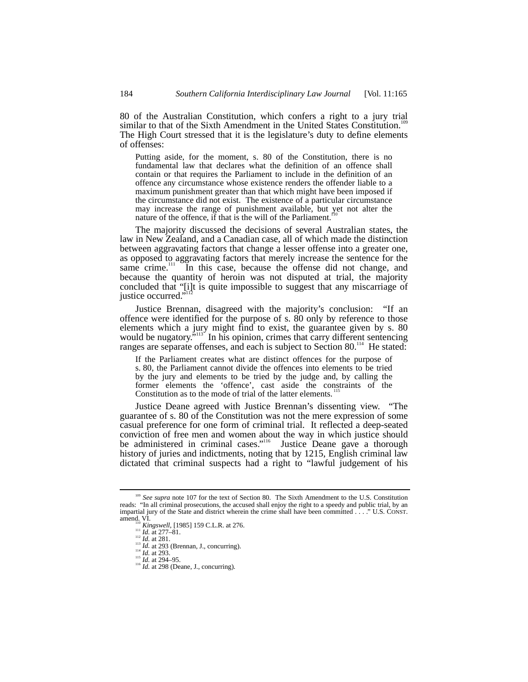80 of the Australian Constitution, which confers a right to a jury trial similar to that of the Sixth Amendment in the United States Constitution.<sup>11</sup> The High Court stressed that it is the legislature's duty to define elements of offenses:

Putting aside, for the moment, s. 80 of the Constitution, there is no fundamental law that declares what the definition of an offence shall contain or that requires the Parliament to include in the definition of an offence any circumstance whose existence renders the offender liable to a maximum punishment greater than that which might have been imposed if the circumstance did not exist. The existence of a particular circumstance may increase the range of punishment available, but yet not alter the nature of the offence, if that is the will of the Parliament.

The majority discussed the decisions of several Australian states, the law in New Zealand, and a Canadian case, all of which made the distinction between aggravating factors that change a lesser offense into a greater one, as opposed to aggravating factors that merely increase the sentence for the same crime.<sup>111</sup> In this case, because the offense did not change, and because the quantity of heroin was not disputed at trial, the majority concluded that "[i]t is quite impossible to suggest that any miscarriage of justice occurred."<sup>112</sup>

Justice Brennan, disagreed with the majority's conclusion: "If an offence were identified for the purpose of s. 80 only by reference to those elements which a jury might find to exist, the guarantee given by s. 80 would be nugatory."<sup>113</sup> In his opinion, crimes that carry different sentencing ranges are separate offenses, and each is subject to Section 80.<sup>114</sup> He stated:

If the Parliament creates what are distinct offences for the purpose of s. 80, the Parliament cannot divide the offences into elements to be tried by the jury and elements to be tried by the judge and, by calling the former elements the 'offence', cast aside the constraints of the Constitution as to the mode of trial of the latter elements.<sup>115</sup>

Justice Deane agreed with Justice Brennan's dissenting view. "The guarantee of s. 80 of the Constitution was not the mere expression of some casual preference for one form of criminal trial. It reflected a deep-seated conviction of free men and women about the way in which justice should be administered in criminal cases."<sup>116</sup> Justice Deane gave a thorough history of juries and indictments, noting that by 1215, English criminal law dictated that criminal suspects had a right to "lawful judgement of his

<sup>&</sup>lt;sup>109</sup> See supra note 107 for the text of Section 80. The Sixth Amendment to the U.S. Constitution reads: "In all criminal prosecutions, the accused shall enjoy the right to a speedy and public trial, by an impartial jury of the State and district wherein the crime shall have been committed . . . ." U.S. CONST.<br>  $\lim_{t \to 0}$  Kingswell, [1985] 159 C.L.R. at 276.<br>  $\lim_{t \to 0}$  Kingswell, [1985] 159 C.L.R. at 276.<br>  $\lim_{t \to 0}$  Kd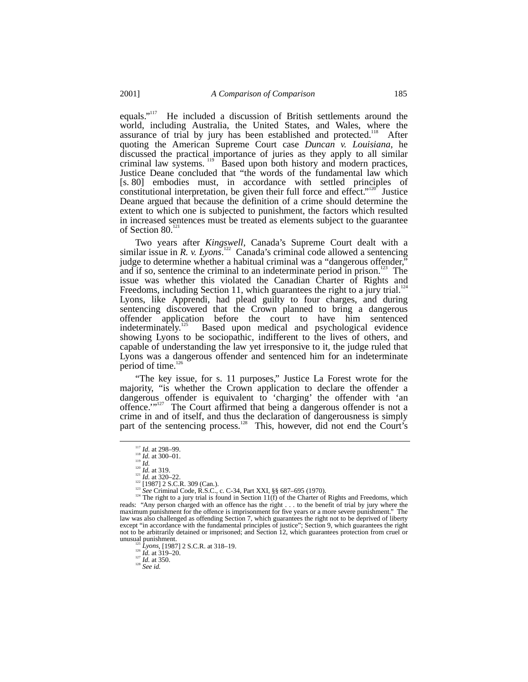equals."<sup>117</sup> He included a discussion of British settlements around the world, including Australia, the United States, and Wales, where the assurance of trial by jury has been established and protected.<sup>118</sup> After quoting the American Supreme Court case *Duncan v. Louisiana*, he discussed the practical importance of juries as they apply to all similar criminal law systems. 119 Based upon both history and modern practices, Justice Deane concluded that "the words of the fundamental law which [s. 80] embodies must, in accordance with settled principles of constitutional interpretation, be given their full force and effect."<sup>12</sup> ' Justice Deane argued that because the definition of a crime should determine the extent to which one is subjected to punishment, the factors which resulted in increased sentences must be treated as elements subject to the guarantee of Section  $80<sup>12</sup>$ 

Two years after *Kingswell*, Canada's Supreme Court dealt with a similar issue in *R. v. Lyons*. 122 Canada's criminal code allowed a sentencing judge to determine whether a habitual criminal was a "dangerous offender," and if so, sentence the criminal to an indeterminate period in prison.<sup>123</sup> The issue was whether this violated the Canadian Charter of Rights and Freedoms, including Section 11, which guarantees the right to a jury trial.<sup>124</sup> Lyons, like Apprendi, had plead guilty to four charges, and during sentencing discovered that the Crown planned to bring a dangerous offender application before the court to have him sentenced indeterminately.<sup>125</sup> Based upon medical and psychological evidence Based upon medical and psychological evidence showing Lyons to be sociopathic, indifferent to the lives of others, and capable of understanding the law yet irresponsive to it, the judge ruled that Lyons was a dangerous offender and sentenced him for an indeterminate period of time. $12$ 

"The key issue, for s. 11 purposes," Justice La Forest wrote for the majority, "is whether the Crown application to declare the offender a dangerous offender is equivalent to 'charging' the offender with 'an offence.'"<sup>127</sup> The Court affirmed that being a dangerous offender is not a crime in and of itself, and thus the declaration of dangerousness is simply part of the sentencing process.<sup>128</sup> This, however, did not end the Court's

<sup>&</sup>lt;sup>117</sup> *Id.* at 298–99.<br>
<sup>117</sup> *Id.* at 300–01.<br>
<sup>12</sup> *Id.* at 320–22.<br>
<sup>12</sup> *Id.* at 320–22.<br>
<sup>121</sup> *Id.* at 320–22.<br>
<sup>121</sup> *Il.* 937] 2 S.C.R. 309 (Can.).<br>
<sup>124</sup> The right to a jury trial is found in Section 11(f) of the reads: "Any person charged with an offence has the right . . . to the benefit of trial by jury where the maximum punishment for the offence is imprisonment for five years or a more severe punishment." The law was also challenged as offending Section 7, which guarantees the right not to be deprived of liberty except "in accordance with the fundamental principles of justice"; Section 9, which guarantees the right not to be arbitrarily detained or imprisoned; and Section 12, which guarantees protection from cruel or not to be arbitrarily detained or imprisoned; and Section 12, which guarantees protection from cruel or unusual punishment.<br><sup>125</sup> *Lyons*, [1987] 2 S.C.R. at 318–19.<br><sup>126</sup> *Id.* at 319–20.<br><sup>127</sup> *Id.* at 350. <sup>128</sup> *See id.*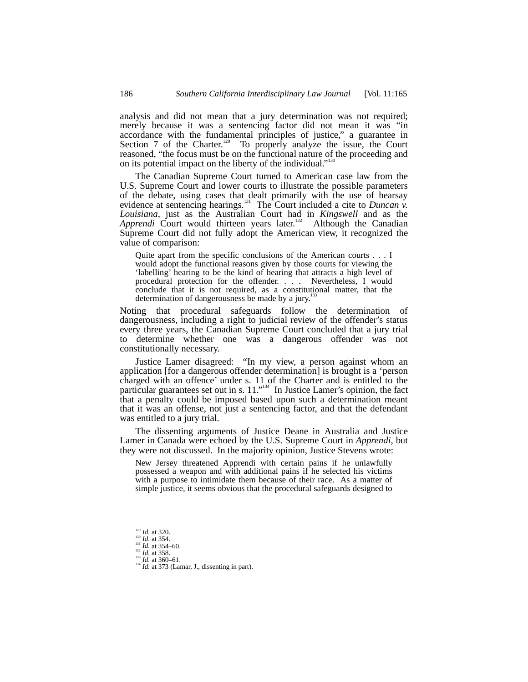analysis and did not mean that a jury determination was not required; merely because it was a sentencing factor did not mean it was "in accordance with the fundamental principles of justice," a guarantee in Section 7 of the Charter.<sup>129</sup> To properly analyze the issue, the Court reasoned, "the focus must be on the functional nature of the proceeding and on its potential impact on the liberty of the individual."<sup>130</sup>

The Canadian Supreme Court turned to American case law from the U.S. Supreme Court and lower courts to illustrate the possible parameters of the debate, using cases that dealt primarily with the use of hearsay evidence at sentencing hearings.<sup>131</sup> The Court included a cite to *Duncan v*. *Louisiana*, just as the Australian Court had in *Kingswell* and as the *Apprendi* Court would thirteen years later.<sup>132</sup> Supreme Court did not fully adopt the American view, it recognized the value of comparison:

Quite apart from the specific conclusions of the American courts . . . I would adopt the functional reasons given by those courts for viewing the 'labelling' hearing to be the kind of hearing that attracts a high level of procedural protection for the offender. . . . Nevertheless, I would conclude that it is not required, as a constitutional matter, that the determination of dangerousness be made by a jury.<sup>13</sup>

Noting that procedural safeguards follow the determination of dangerousness, including a right to judicial review of the offender's status every three years, the Canadian Supreme Court concluded that a jury trial to determine whether one was a dangerous offender was not constitutionally necessary.

Justice Lamer disagreed: "In my view, a person against whom an application [for a dangerous offender determination] is brought is a 'person charged with an offence' under s. 11 of the Charter and is entitled to the particular guarantees set out in s. 11."<sup>34</sup> In Justice Lamer's opinion, the fact that a penalty could be imposed based upon such a determination meant that it was an offense, not just a sentencing factor, and that the defendant was entitled to a jury trial.

The dissenting arguments of Justice Deane in Australia and Justice Lamer in Canada were echoed by the U.S. Supreme Court in *Apprendi*, but they were not discussed. In the majority opinion, Justice Stevens wrote:

New Jersey threatened Apprendi with certain pains if he unlawfully possessed a weapon and with additional pains if he selected his victims with a purpose to intimidate them because of their race. As a matter of simple justice, it seems obvious that the procedural safeguards designed to

<sup>1&</sup>lt;sup>29</sup> *Id.* at 320.<br><sup>130</sup> *Id.* at 354–60.<br><sup>132</sup> *Id.* at 358. <sup>133</sup> *Id.* at 360–61.<br><sup>134</sup> *Id.* at 373 (Lamar, J., dissenting in part).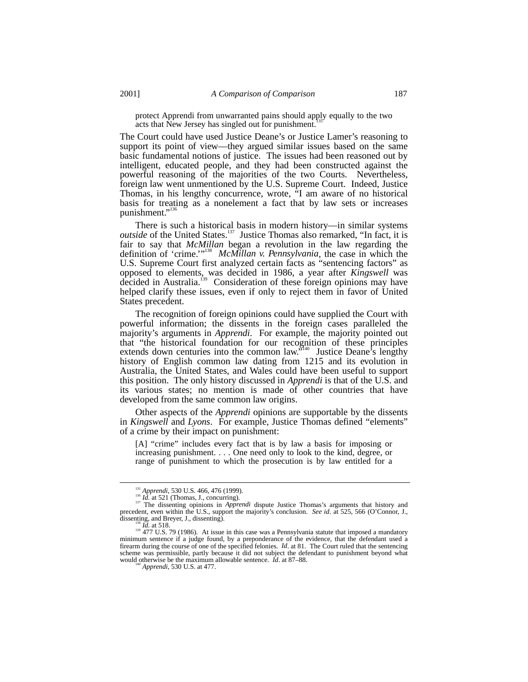protect Apprendi from unwarranted pains should apply equally to the two acts that New Jersey has singled out for punishment.

The Court could have used Justice Deane's or Justice Lamer's reasoning to support its point of view––they argued similar issues based on the same basic fundamental notions of justice. The issues had been reasoned out by intelligent, educated people, and they had been constructed against the powerful reasoning of the majorities of the two Courts. Nevertheless, foreign law went unmentioned by the U.S. Supreme Court. Indeed, Justice Thomas, in his lengthy concurrence, wrote, "I am aware of no historical basis for treating as a nonelement a fact that by law sets or increases punishment."

There is such a historical basis in modern history––in similar systems *outside* of the United States.<sup>137</sup> Justice Thomas also remarked, "In fact, it is fair to say that *McMillan* began a revolution in the law regarding the definition of 'crime.'"138 *McMillan v. Pennsylvania*, the case in which the U.S. Supreme Court first analyzed certain facts as "sentencing factors" as opposed to elements, was decided in 1986, a year after *Kingswell* was decided in Australia.<sup>139</sup> Consideration of these foreign opinions may have helped clarify these issues, even if only to reject them in favor of United States precedent.

The recognition of foreign opinions could have supplied the Court with powerful information; the dissents in the foreign cases paralleled the majority's arguments in *Apprendi*. For example, the majority pointed out that "the historical foundation for our recognition of these principles extends down centuries into the common law.<sup>5140</sup> Justice Deane's lengthy history of English common law dating from 1215 and its evolution in Australia, the United States, and Wales could have been useful to support this position. The only history discussed in *Apprendi* is that of the U.S. and its various states; no mention is made of other countries that have developed from the same common law origins.

Other aspects of the *Apprendi* opinions are supportable by the dissents in *Kingswell* and *Lyons*. For example, Justice Thomas defined "elements" of a crime by their impact on punishment:

[A] "crime" includes every fact that is by law a basis for imposing or increasing punishment. . . . One need only to look to the kind, degree, or range of punishment to which the prosecution is by law entitled for a

<sup>&</sup>lt;sup>135</sup> *Apprendi*, 530 U.S. 466, 476 (1999).<br><sup>136</sup> *Id.* at 521 (Thomas, J., concurring).<br><sup>137</sup> The dissenting opinions in *Apprendi* dispute Justice Thomas's arguments that history and<br><sup>137</sup> The dissenting opinions in *App* precedent, even within the U.S., support the majority's conclusion. *See id.* at 525, 566 (O'Connor, J., dissenting, and Brever, J., dissenting).

dissenting, and Breyer, J., dissenting).<br><sup>139</sup> *Id.* at 518. 139 (1986). At issue in this case was a Pennsylvania statute that imposed a mandatory minimum sentence if a judge found, by a preponderance of the evidence, that the defendant used a firearm during the course of one of the specified felonies. *Id*. at 81. The Court ruled that the sentencing scheme was permissible, partly because it did not subject the defendant to punishment beyond what would otherwise be the maximum allowable sentence. *Id.* at 87–88. <sup>140</sup> *Apprendi*, 530 U.S. at 477.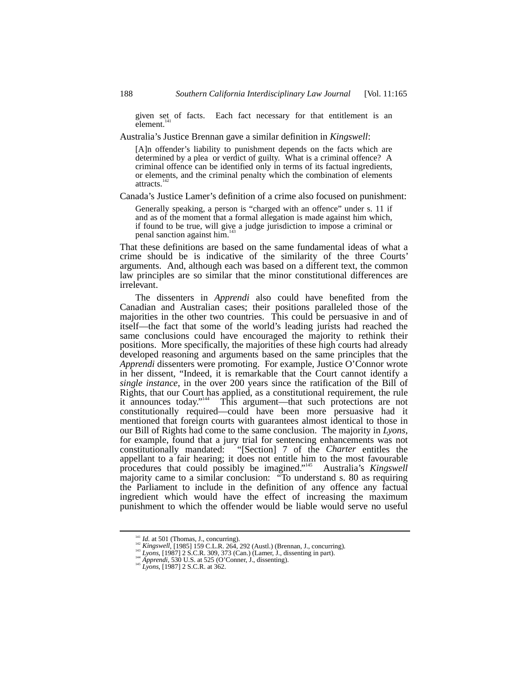given set of facts. Each fact necessary for that entitlement is an element.

Australia's Justice Brennan gave a similar definition in *Kingswell*:

[A]n offender's liability to punishment depends on the facts which are determined by a plea or verdict of guilty. What is a criminal offence? A criminal offence can be identified only in terms of its factual ingredients, or elements, and the criminal penalty which the combination of elements attracts.<sup>1</sup>

Canada's Justice Lamer's definition of a crime also focused on punishment:

Generally speaking, a person is "charged with an offence" under s. 11 if and as of the moment that a formal allegation is made against him which, if found to be true, will give a judge jurisdiction to impose a criminal or penal sanction against him.<sup>14</sup>

That these definitions are based on the same fundamental ideas of what a crime should be is indicative of the similarity of the three Courts' arguments. And, although each was based on a different text, the common law principles are so similar that the minor constitutional differences are irrelevant.

The dissenters in *Apprendi* also could have benefited from the Canadian and Australian cases; their positions paralleled those of the majorities in the other two countries. This could be persuasive in and of itself––the fact that some of the world's leading jurists had reached the same conclusions could have encouraged the majority to rethink their positions. More specifically, the majorities of these high courts had already developed reasoning and arguments based on the same principles that the *Apprendi* dissenters were promoting. For example, Justice O'Connor wrote in her dissent, "Indeed, it is remarkable that the Court cannot identify a *single instance*, in the over 200 years since the ratification of the Bill of Rights, that our Court has applied, as a constitutional requirement, the rule it announces today." 144 This argument––that such protections are not constitutionally required––could have been more persuasive had it mentioned that foreign courts with guarantees almost identical to those in our Bill of Rights had come to the same conclusion. The majority in *Lyons*, for example, found that a jury trial for sentencing enhancements was not constitutionally mandated: "[Section] 7 of the *Charter* entitles the appellant to a fair hearing; it does not entitle him to the most favourable procedures that could possibly be imagined." 145 Australia's *Kingswell* majority came to a similar conclusion: "To understand s. 80 as requiring the Parliament to include in the definition of any offence any factual ingredient which would have the effect of increasing the maximum punishment to which the offender would be liable would serve no useful

<sup>&</sup>lt;sup>141</sup> *Id.* at 501 (Thomas, J., concurring).<br><sup>142</sup> *Kingswell*, [1985] 159 C.L.R. 264, 292 (Austl.) (Brennan, J., concurring).<br><sup>143</sup> *Lyons*, [1987] 2 S.C.R. 309, 373 (Can.) (Lamer, J., dissenting in part).<br><sup>144</sup> *Apprend*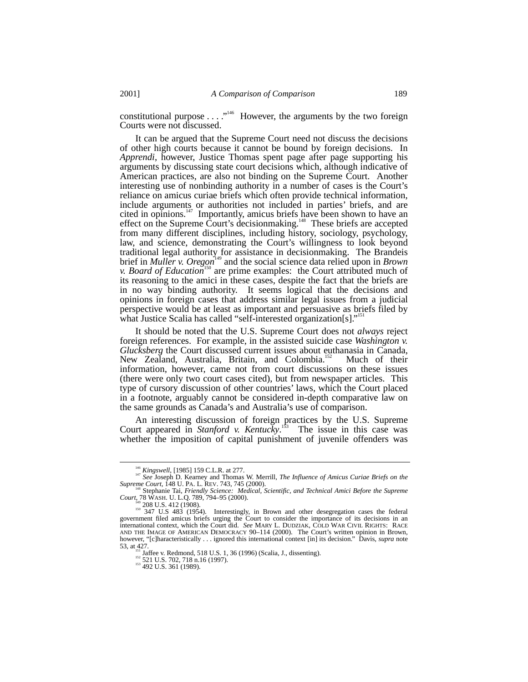constitutional purpose  $\dots$  ."<sup>146</sup> However, the arguments by the two foreign Courts were not discussed.

It can be argued that the Supreme Court need not discuss the decisions of other high courts because it cannot be bound by foreign decisions. In *Apprendi*, however, Justice Thomas spent page after page supporting his arguments by discussing state court decisions which, although indicative of American practices, are also not binding on the Supreme Court. Another interesting use of nonbinding authority in a number of cases is the Court's reliance on amicus curiae briefs which often provide technical information, include arguments or authorities not included in parties' briefs, and are cited in opinions. $147$  Importantly, amicus briefs have been shown to have an effect on the Supreme Court's decisionmaking.<sup>148</sup> These briefs are accepted from many different disciplines, including history, sociology, psychology, law, and science, demonstrating the Court's willingness to look beyond traditional legal authority for assistance in decisionmaking. The Brandeis brief in *Muller v. Oregon*<sup>149</sup> and the social science data relied upon in *Brown v. Board of Education*<sup>150</sup> are prime examples: the Court attributed much of its reasoning to the amici in these cases, despite the fact that the briefs are in no way binding authority. It seems logical that the decisions and opinions in foreign cases that address similar legal issues from a judicial perspective would be at least as important and persuasive as briefs filed by what Justice Scalia has called "self-interested organization[s]."<sup>151</sup>

It should be noted that the U.S. Supreme Court does not *always* reject foreign references. For example, in the assisted suicide case *Washington v. Glucksberg* the Court discussed current issues about euthanasia in Canada, New Zealand, Australia, Britain, and Colombia.<sup>152</sup> Much of their information, however, came not from court discussions on these issues (there were only two court cases cited), but from newspaper articles. This type of cursory discussion of other countries' laws, which the Court placed in a footnote, arguably cannot be considered in-depth comparative law on the same grounds as Canada's and Australia's use of comparison.

An interesting discussion of foreign practices by the U.S. Supreme Court appeared in *Stanford v. Kentucky*. 153 The issue in this case was whether the imposition of capital punishment of juvenile offenders was

<sup>&</sup>lt;sup>146</sup> *Kingswell*, [1985] 159 C.L.R. at 277.<br><sup>147</sup> *See* Joseph D. Kearney and Thomas W. Merrill, *The Influence of Amicus Curiae Briefs on the Supreme Court*, 148 U. PA. L. REV. 743, 745 (2000).

<sup>&</sup>lt;sup>148</sup> Stephanie Tai, *Friendly Science: Medical, Scientific, and Technical Amici Before the Supreme*<br>Court, 78 WASH. U. L.Q. 789, 794–95 (2000).

Court, 78 WASH. U. L.Q. 789, 794–95 (2000).<br><sup>149</sup> 208 U.S. 412 (1908).<br><sup>150</sup> 347 U.S. 483 (1954). Interestingly, in Brown and other desegregation cases the federal<br>government filed amicus briefs urging the Court to consid international context, which the Court did. *See* MARY L. DUDZIAK, COLD WAR CIVIL RIGHTS: RACE AND THE IMAGE OF AMERICAN DEMOCRACY 90–114 (2000). The Court's written opinion in Brown, however, "[c]haracteristically . . . ignored this international context [in] its decision." Davis, *supra* note 153, at 427.<br>
153, at 427.<br>
<sup>151</sup> Jaffee v. Redmond, 518 U.S. 1, 36 (1996) (Scalia, J., dissenting).<br>
<sup>152</sup> 521 U.S. 702, 718 n.16 (1997).<br>
<sup>153</sup> 492 U.S. 361 (1989).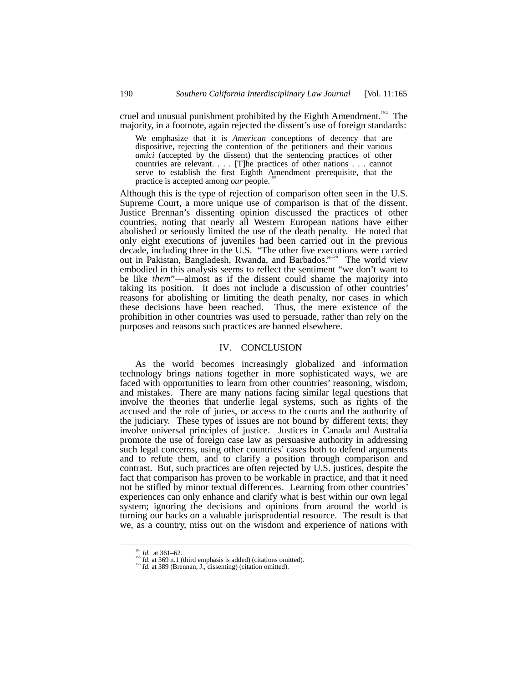cruel and unusual punishment prohibited by the Eighth Amendment.<sup>154</sup> The majority, in a footnote, again rejected the dissent's use of foreign standards:

We emphasize that it is *American* conceptions of decency that are dispositive, rejecting the contention of the petitioners and their various *amici* (accepted by the dissent) that the sentencing practices of other countries are relevant. . . . [T]he practices of other nations . . . cannot serve to establish the first Eighth Amendment prerequisite, that the practice is accepted among *our* people.

Although this is the type of rejection of comparison often seen in the U.S. Supreme Court, a more unique use of comparison is that of the dissent. Justice Brennan's dissenting opinion discussed the practices of other countries, noting that nearly all Western European nations have either abolished or seriously limited the use of the death penalty. He noted that only eight executions of juveniles had been carried out in the previous decade, including three in the U.S. "The other five executions were carried out in Pakistan, Bangladesh, Rwanda, and Barbados."<sup>156</sup> The world view embodied in this analysis seems to reflect the sentiment "we don't want to be like *them*"––almost as if the dissent could shame the majority into taking its position. It does not include a discussion of other countries' reasons for abolishing or limiting the death penalty, nor cases in which these decisions have been reached. Thus, the mere existence of the prohibition in other countries was used to persuade, rather than rely on the purposes and reasons such practices are banned elsewhere.

#### IV. CONCLUSION

As the world becomes increasingly globalized and information technology brings nations together in more sophisticated ways, we are faced with opportunities to learn from other countries' reasoning, wisdom, and mistakes. There are many nations facing similar legal questions that involve the theories that underlie legal systems, such as rights of the accused and the role of juries, or access to the courts and the authority of the judiciary. These types of issues are not bound by different texts; they involve universal principles of justice. Justices in Canada and Australia promote the use of foreign case law as persuasive authority in addressing such legal concerns, using other countries' cases both to defend arguments and to refute them, and to clarify a position through comparison and contrast. But, such practices are often rejected by U.S. justices, despite the fact that comparison has proven to be workable in practice, and that it need not be stifled by minor textual differences. Learning from other countries' experiences can only enhance and clarify what is best within our own legal system; ignoring the decisions and opinions from around the world is turning our backs on a valuable jurisprudential resource. The result is that we, as a country, miss out on the wisdom and experience of nations with

<sup>&</sup>lt;sup>154</sup> *Id.* at 361–62.<br><sup>155</sup> *Id.* at 369 n.1 (third emphasis is added) (citations omitted).<br><sup>156</sup> *Id.* at 389 (Brennan, J., dissenting) (citation omitted).